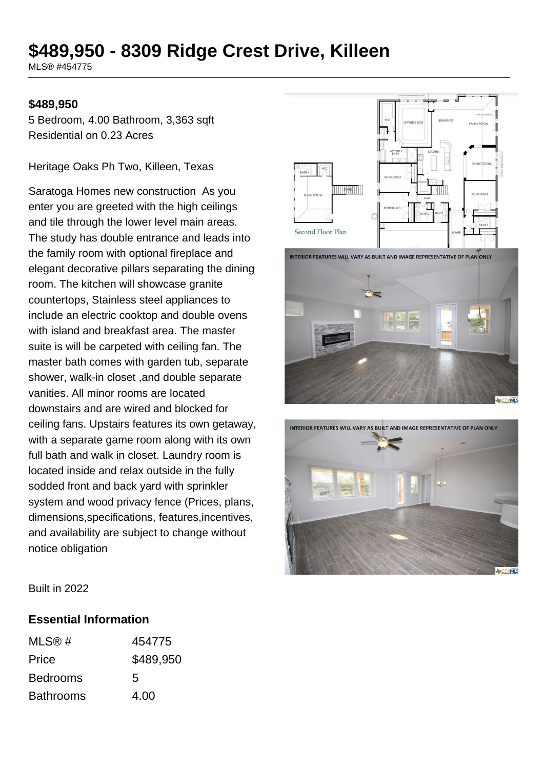# **\$489,950 - 8309 Ridge Crest Drive, Killeen**

MLS® #454775

#### **\$489,950**

5 Bedroom, 4.00 Bathroom, 3,363 sqft Residential on 0.23 Acres

Heritage Oaks Ph Two, Killeen, Texas

Saratoga Homes new construction As you enter you are greeted with the high ceilings and tile through the lower level main areas. The study has double entrance and leads into the family room with optional fireplace and elegant decorative pillars separating the dining room. The kitchen will showcase granite countertops, Stainless steel appliances to include an electric cooktop and double ovens with island and breakfast area. The master suite is will be carpeted with ceiling fan. The master bath comes with garden tub, separate shower, walk-in closet ,and double separate vanities. All minor rooms are located downstairs and are wired and blocked for ceiling fans. Upstairs features its own getaway, with a separate game room along with its own full bath and walk in closet. Laundry room is located inside and relax outside in the fully sodded front and back yard with sprinkler system and wood privacy fence (Prices, plans, dimensions,specifications, features,incentives, and availability are subject to change without notice obligation



**INTERIOR FEATURES WILL VARY AS BUILT AND IMAGE REPRESENTATIVE OF PLAN ONLY** 





Built in 2022

#### **Essential Information**

| MLS@#            | 454775    |
|------------------|-----------|
| Price            | \$489,950 |
| <b>Bedrooms</b>  | 5         |
| <b>Bathrooms</b> | 4.00      |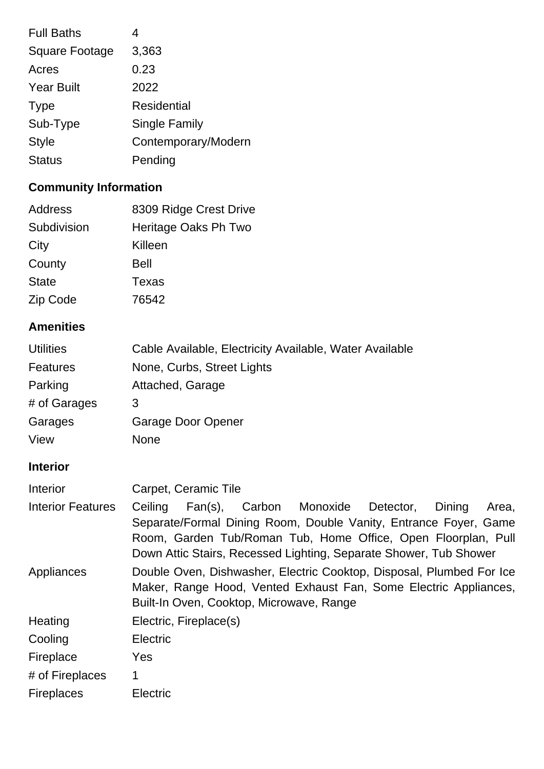| <b>Full Baths</b>     | 4                    |
|-----------------------|----------------------|
| <b>Square Footage</b> | 3,363                |
| Acres                 | 0.23                 |
| <b>Year Built</b>     | 2022                 |
| <b>Type</b>           | <b>Residential</b>   |
| Sub-Type              | <b>Single Family</b> |
| <b>Style</b>          | Contemporary/Modern  |
| <b>Status</b>         | Pending              |
|                       |                      |

# **Community Information**

| Address      | 8309 Ridge Crest Drive |
|--------------|------------------------|
| Subdivision  | Heritage Oaks Ph Two   |
| City         | Killeen                |
| County       | <b>Bell</b>            |
| <b>State</b> | <b>Texas</b>           |
| Zip Code     | 76542                  |

# **Amenities**

| <b>Utilities</b> | Cable Available, Electricity Available, Water Available |
|------------------|---------------------------------------------------------|
| Features         | None, Curbs, Street Lights                              |
| Parking          | Attached, Garage                                        |
| # of Garages     | 3                                                       |
| Garages          | Garage Door Opener                                      |
| View             | <b>None</b>                                             |

# **Interior**

| Interior                 | Carpet, Ceramic Tile                                                                                                                                                                                                                                                         |
|--------------------------|------------------------------------------------------------------------------------------------------------------------------------------------------------------------------------------------------------------------------------------------------------------------------|
| <b>Interior Features</b> | Carbon Monoxide Detector,<br>Fan(s),<br>Dining<br>Ceiling<br>Area,<br>Separate/Formal Dining Room, Double Vanity, Entrance Foyer, Game<br>Room, Garden Tub/Roman Tub, Home Office, Open Floorplan, Pull<br>Down Attic Stairs, Recessed Lighting, Separate Shower, Tub Shower |
| Appliances               | Double Oven, Dishwasher, Electric Cooktop, Disposal, Plumbed For Ice<br>Maker, Range Hood, Vented Exhaust Fan, Some Electric Appliances,<br>Built-In Oven, Cooktop, Microwave, Range                                                                                         |
| Heating                  | Electric, Fireplace(s)                                                                                                                                                                                                                                                       |
| Cooling                  | <b>Electric</b>                                                                                                                                                                                                                                                              |
| Fireplace                | Yes                                                                                                                                                                                                                                                                          |
| # of Fireplaces          | 1                                                                                                                                                                                                                                                                            |
| <b>Fireplaces</b>        | Electric                                                                                                                                                                                                                                                                     |